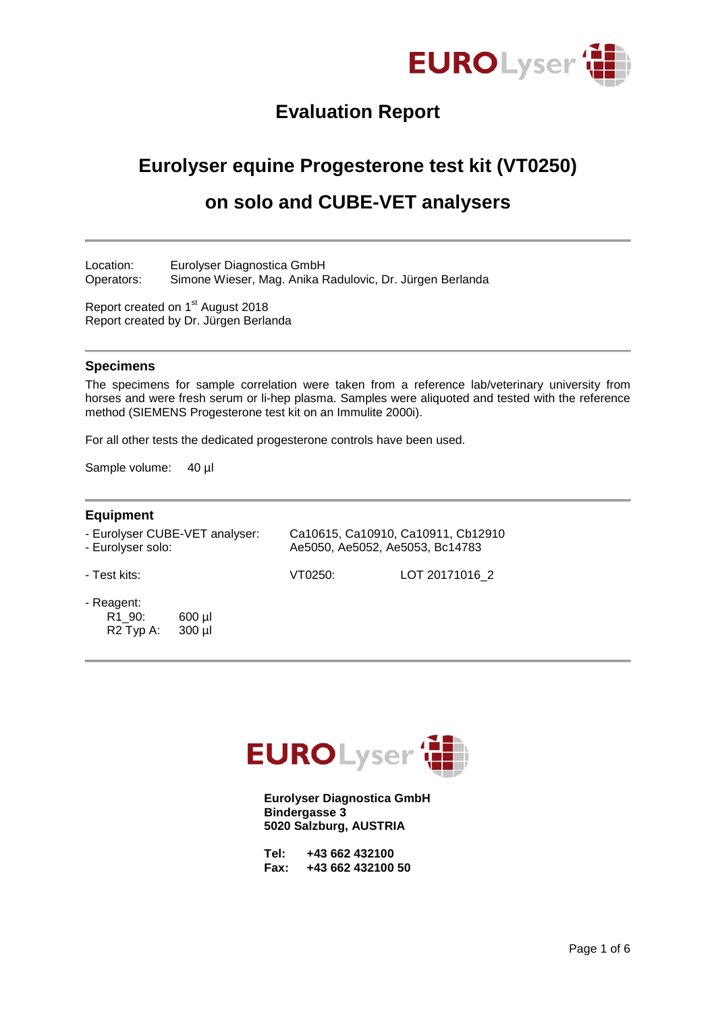

# **Evaluation Report**

# **Eurolyser equine Progesterone test kit (VT0250)**

# **on solo and CUBE-VET analysers**

Location: Eurolyser Diagnostica GmbH Operators: Simone Wieser, Mag. Anika Radulovic, Dr. Jürgen Berlanda

Report created on 1<sup>st</sup> August 2018 Report created by Dr. Jürgen Berlanda

#### **Specimens**

The specimens for sample correlation were taken from a reference lab/veterinary university from horses and were fresh serum or li-hep plasma. Samples were aliquoted and tested with the reference method (SIEMENS Progesterone test kit on an Immulite 2000i).

For all other tests the dedicated progesterone controls have been used.

Sample volume: 40 µl

#### **Equipment**

| - Eurolyser CUBE-VET analyser: | Ca10615, Ca10910, Ca10911, Cb12910 |
|--------------------------------|------------------------------------|
| - Eurolyser solo:              | Ae5050, Ae5052, Ae5053, Bc14783    |

- Test kits: VT0250: LOT 20171016\_2

- Reagent:
	- R1\_90: 600 µl R2 Typ A: 300 µl



**Eurolyser Diagnostica GmbH Bindergasse 3 5020 Salzburg, AUSTRIA**

| Tel: |  | +43 662 432100    |  |
|------|--|-------------------|--|
| Fax: |  | +43 662 432100 50 |  |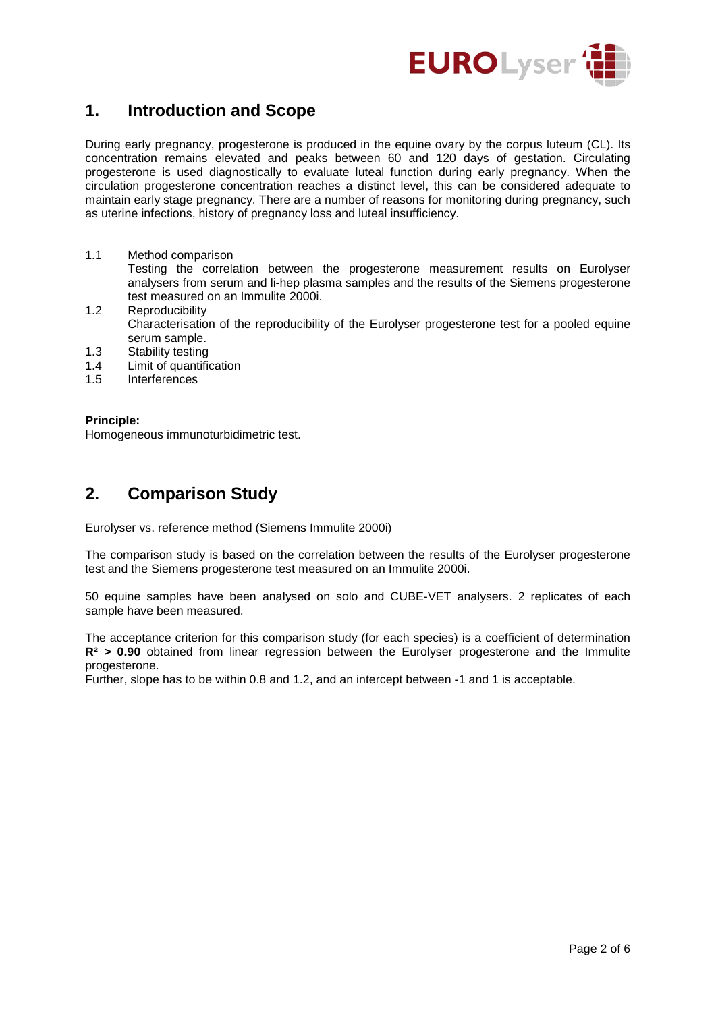

## **1. Introduction and Scope**

During early pregnancy, progesterone is produced in the equine ovary by the corpus luteum (CL). Its concentration remains elevated and peaks between 60 and 120 days of gestation. Circulating progesterone is used diagnostically to evaluate luteal function during early pregnancy. When the circulation progesterone concentration reaches a distinct level, this can be considered adequate to maintain early stage pregnancy. There are a number of reasons for monitoring during pregnancy, such as uterine infections, history of pregnancy loss and luteal insufficiency.

- 1.1 Method comparison Testing the correlation between the progesterone measurement results on Eurolyser analysers from serum and li-hep plasma samples and the results of the Siemens progesterone test measured on an Immulite 2000i.
- 1.2 Reproducibility Characterisation of the reproducibility of the Eurolyser progesterone test for a pooled equine serum sample.
- 1.3 Stability testing<br>1.4 Limit of quantific
- Limit of quantification
- 1.5 Interferences

#### **Principle:**

Homogeneous immunoturbidimetric test.

## **2. Comparison Study**

Eurolyser vs. reference method (Siemens Immulite 2000i)

The comparison study is based on the correlation between the results of the Eurolyser progesterone test and the Siemens progesterone test measured on an Immulite 2000i.

50 equine samples have been analysed on solo and CUBE-VET analysers. 2 replicates of each sample have been measured.

The acceptance criterion for this comparison study (for each species) is a coefficient of determination **R² > 0.90** obtained from linear regression between the Eurolyser progesterone and the Immulite progesterone.

Further, slope has to be within 0.8 and 1.2, and an intercept between -1 and 1 is acceptable.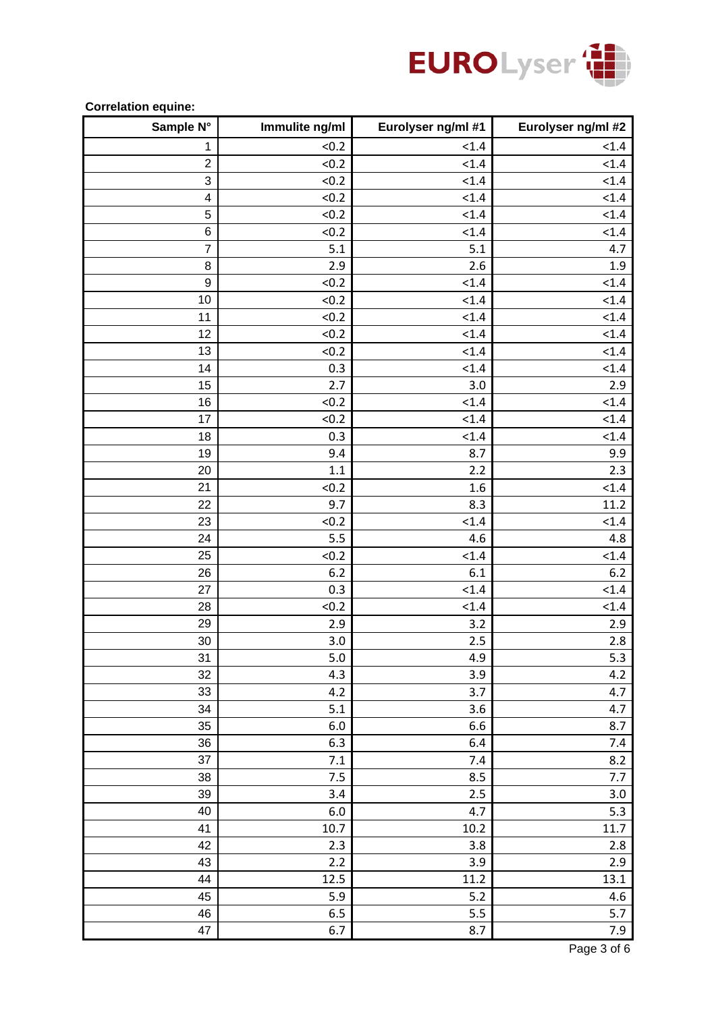

#### **Correlation equine:**

| Sample N°               | Immulite ng/ml | Eurolyser ng/ml #1 | Eurolyser ng/ml #2 |
|-------------------------|----------------|--------------------|--------------------|
| $\mathbf{1}$            | < 0.2          | < 1.4              | < 1.4              |
| $\overline{c}$          | < 0.2          | < 1.4              | < 1.4              |
| 3                       | < 0.2          | < 1.4              | < 1.4              |
| $\overline{\mathbf{4}}$ | < 0.2          | < 1.4              | < 1.4              |
| 5                       | < 0.2          | < 1.4              | < 1.4              |
| $\,6$                   | < 0.2          | < 1.4              | < 1.4              |
| $\overline{7}$          | 5.1            | 5.1                | 4.7                |
| 8                       | 2.9            | 2.6                | $1.9\,$            |
| 9                       | < 0.2          | < 1.4              | < 1.4              |
| 10                      | < 0.2          | < 1.4              | < 1.4              |
| 11                      | < 0.2          | < 1.4              | < 1.4              |
| 12                      | < 0.2          | < 1.4              | < 1.4              |
| 13                      | < 0.2          | < 1.4              | < 1.4              |
| 14                      | 0.3            | < 1.4              | < 1.4              |
| 15                      | 2.7            | 3.0                | 2.9                |
| 16                      | < 0.2          | < 1.4              | < 1.4              |
| 17                      | < 0.2          | < 1.4              | < 1.4              |
| 18                      | 0.3            | < 1.4              | < 1.4              |
| 19                      | 9.4            | 8.7                | 9.9                |
| 20                      | 1.1            | 2.2                | 2.3                |
| 21                      | < 0.2          | 1.6                | < 1.4              |
| 22                      | 9.7            | 8.3                | 11.2               |
| 23                      | < 0.2          | < 1.4              | < 1.4              |
| 24                      | 5.5            | 4.6                | 4.8                |
| 25                      | < 0.2          | < 1.4              | < 1.4              |
| 26                      | 6.2            | 6.1                | $6.2$              |
| 27                      | 0.3            | < 1.4              | < 1.4              |
| 28                      | < 0.2          | < 1.4              | < 1.4              |
| 29                      | 2.9            | 3.2                | 2.9                |
| 30                      | 3.0            | 2.5                | 2.8                |
| 31                      | 5.0            | 4.9                | 5.3                |
| 32                      | 4.3            | 3.9                | 4.2                |
| 33                      | 4.2            | 3.7                | 4.7                |
| 34                      | 5.1            | 3.6                | 4.7                |
| 35                      | 6.0            | 6.6                | 8.7                |
| 36                      | 6.3            | 6.4                | 7.4                |
| 37                      | 7.1            | 7.4                | 8.2                |
| 38                      | 7.5            | 8.5                | 7.7                |
| 39                      | 3.4            | 2.5                | 3.0                |
| 40                      | 6.0            | 4.7                | 5.3                |
| 41                      | $10.7\,$       | 10.2               | $11.7\,$           |
| 42                      | 2.3            | 3.8                | 2.8                |
| 43                      | 2.2            | 3.9                | 2.9                |
| 44                      | 12.5           | 11.2               | 13.1               |
| 45                      | 5.9            | 5.2                | $4.6\,$            |
| 46                      | 6.5            | 5.5                | 5.7                |
| 47                      | 6.7            | 8.7                | 7.9                |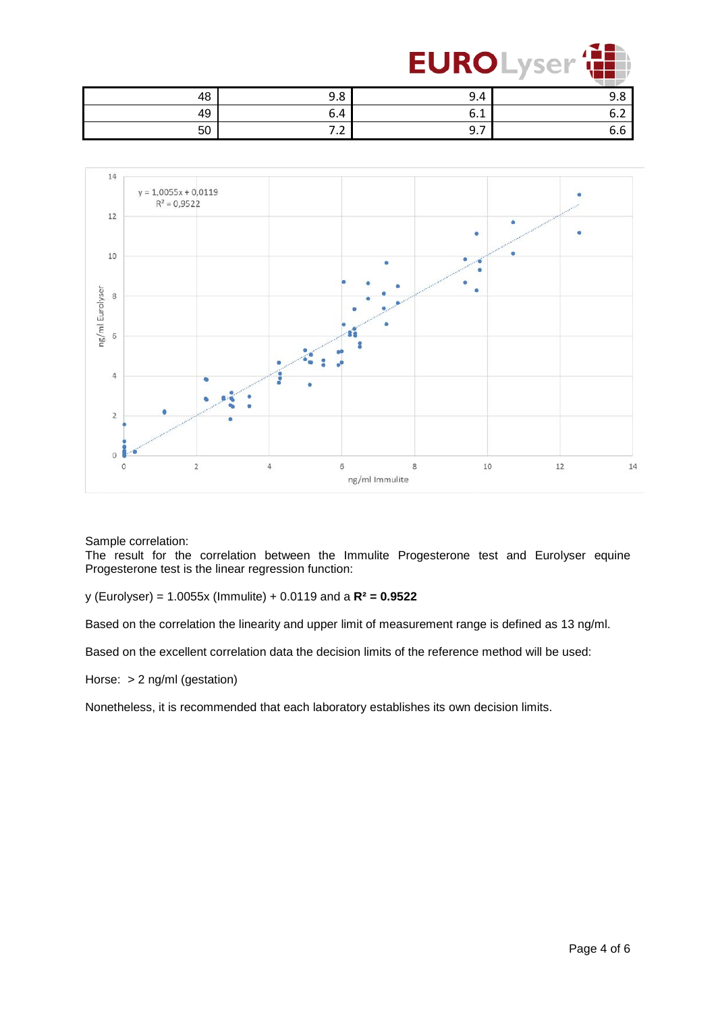

|    |          |               | $-$ |
|----|----------|---------------|-----|
| 48 | 0<br>J.O | 9.4           | . U |
| 49 | 6.4      | v.⊥           |     |
| 50 |          | -<br><u>.</u> |     |



Sample correlation:

The result for the correlation between the Immulite Progesterone test and Eurolyser equine Progesterone test is the linear regression function:

y (Eurolyser) = 1.0055x (Immulite) + 0.0119 and a **R² = 0.9522**

Based on the correlation the linearity and upper limit of measurement range is defined as 13 ng/ml.

Based on the excellent correlation data the decision limits of the reference method will be used:

Horse: > 2 ng/ml (gestation)

Nonetheless, it is recommended that each laboratory establishes its own decision limits.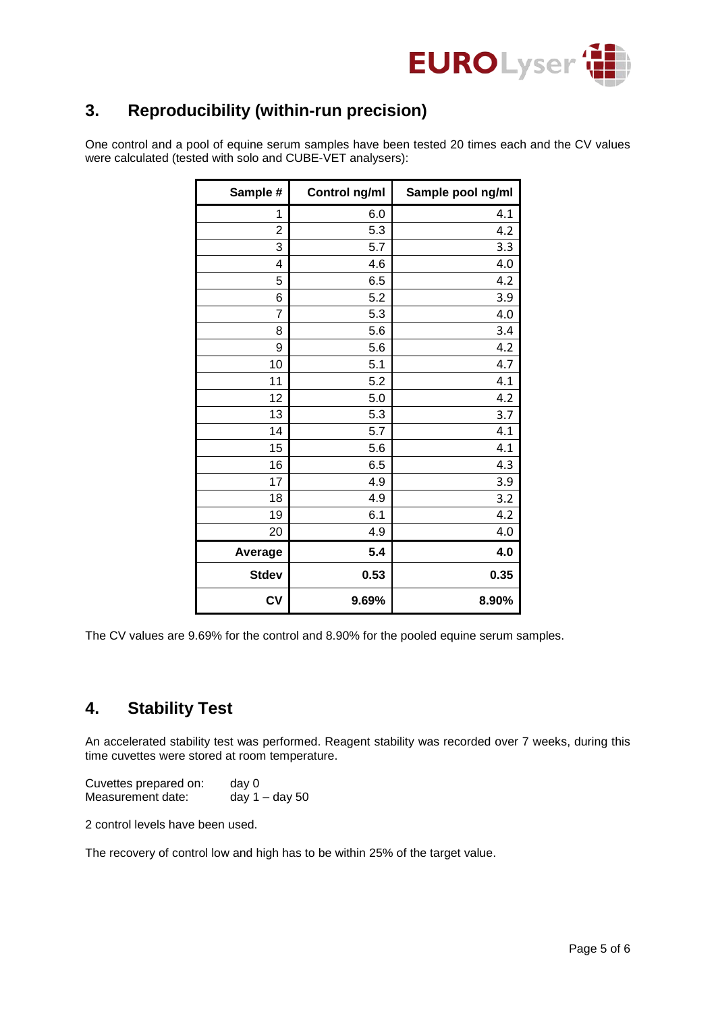

## **3. Reproducibility (within-run precision)**

One control and a pool of equine serum samples have been tested 20 times each and the CV values were calculated (tested with solo and CUBE-VET analysers):

| Sample #       | Control ng/ml | Sample pool ng/ml |
|----------------|---------------|-------------------|
| 1              | 6.0           | 4.1               |
| $\overline{2}$ | 5.3           | 4.2               |
| 3              | 5.7           | 3.3               |
| 4              | 4.6           | 4.0               |
| 5              | 6.5           | 4.2               |
| 6              | 5.2           | 3.9               |
| $\overline{7}$ | 5.3           | 4.0               |
| 8              | 5.6           | 3.4               |
| 9              | 5.6           | 4.2               |
| 10             | 5.1           | 4.7               |
| 11             | 5.2           | 4.1               |
| 12             | 5.0           | 4.2               |
| 13             | 5.3           | 3.7               |
| 14             | 5.7           | 4.1               |
| 15             | 5.6           | 4.1               |
| 16             | 6.5           | 4.3               |
| 17             | 4.9           | 3.9               |
| 18             | 4.9           | 3.2               |
| 19             | 6.1           | 4.2               |
| 20             | 4.9           | 4.0               |
| Average        | 5.4           | 4.0               |
| <b>Stdev</b>   | 0.53          | 0.35              |
| CV             | 9.69%         | 8.90%             |

The CV values are 9.69% for the control and 8.90% for the pooled equine serum samples.

## **4. Stability Test**

An accelerated stability test was performed. Reagent stability was recorded over 7 weeks, during this time cuvettes were stored at room temperature.

| Cuvettes prepared on: | day 0            |
|-----------------------|------------------|
| Measurement date:     | day $1 -$ day 50 |

2 control levels have been used.

The recovery of control low and high has to be within 25% of the target value.